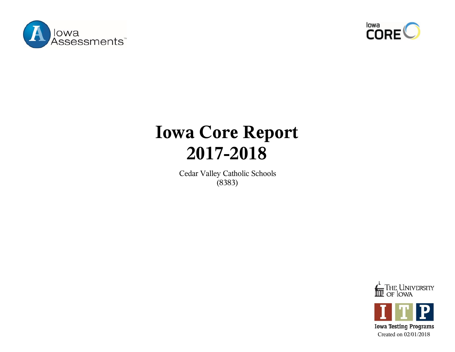



## **Iowa Core Report 2017-2018**

Cedar Valley Catholic Schools (8383)





**Iowa Testing Programs** Created on 02/01/2018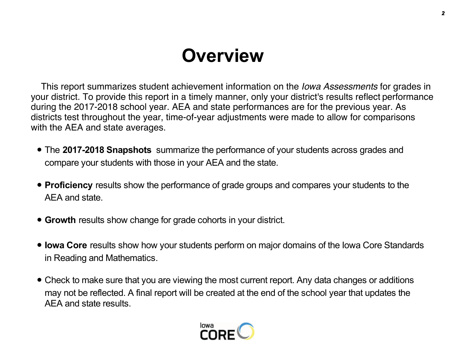# **Overview**

 This report summarizes student achievement information on the *Iowa Assessments* for grades in your district. To provide this report in a timely manner, only your district's results reflect performance during the 2017-2018 school year. AEA and state performances are for the previous year. As districts test throughout the year, time-of-year adjustments were made to allow for comparisons with the AEA and state averages.

- The **2017-2018 Snapshots** summarize the performance of your students across grades and compare your students with those in your AEA and the state.
- **Proficiency** results show the performance of grade groups and compares your students to the AEA and state.
- **Growth** results show change for grade cohorts in your district.
- **Iowa Core** results show how your students perform on major domains of the Iowa Core Standards in Reading and Mathematics.
- Check to make sure that you are viewing the most current report. Any data changes or additions may not be reflected. A final report will be created at the end of the school year that updates the AEA and state results.

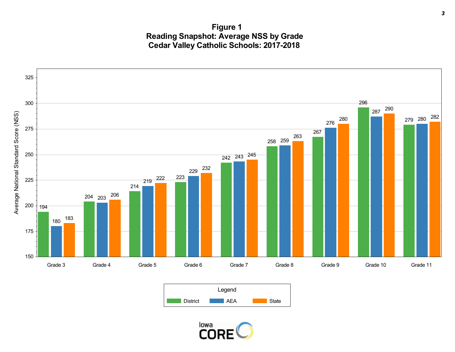**Figure 1 Reading Snapshot: Average NSS by Grade Cedar Valley Catholic Schools: 2017-2018**





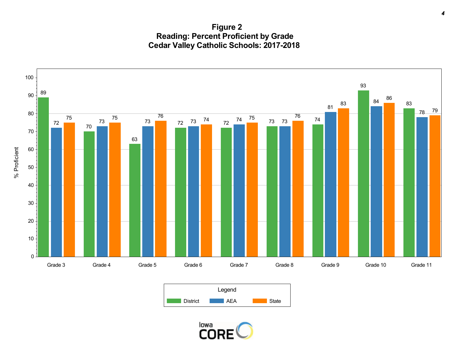**Figure 2 Reading: Percent Proficient by Grade Cedar Valley Catholic Schools: 2017-2018**





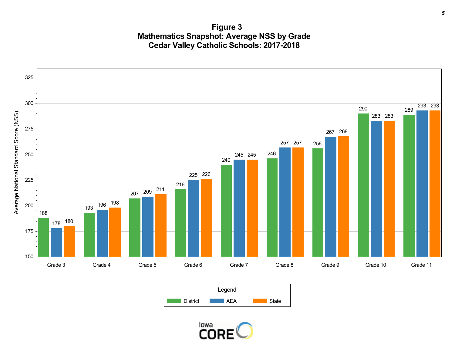**Figure 3 Mathematics Snapshot: Average NSS by Grade Cedar Valley Catholic Schools: 2017-2018**





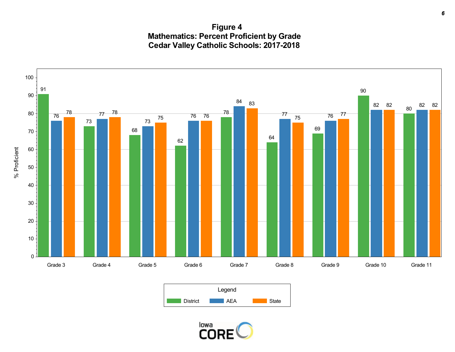**Figure 4 Mathematics: Percent Proficient by Grade Cedar Valley Catholic Schools: 2017-2018**





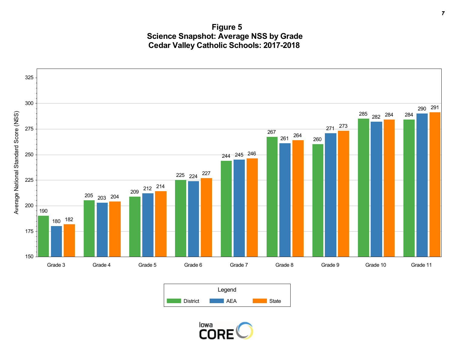**Figure 5 Science Snapshot: Average NSS by Grade Cedar Valley Catholic Schools: 2017-2018**





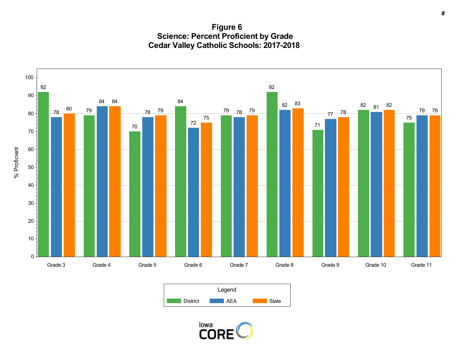**Figure 6 Science: Percent Proficient by Grade Cedar Valley Catholic Schools: 2017-2018**





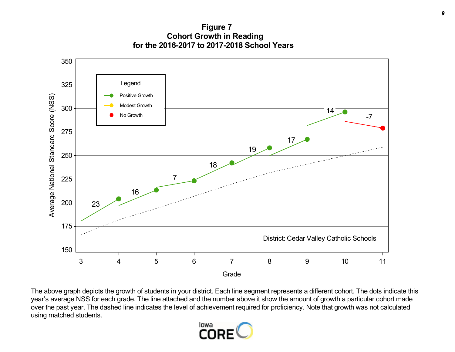**Figure 7 Cohort Growth in Reading for the 2016-2017 to 2017-2018 School Years**



The above graph depicts the growth of students in your district. Each line segment represents a different cohort. The dots indicate this year's average NSS for each grade. The line attached and the number above it show the amount of growth a particular cohort made over the past year. The dashed line indicates the level of achievement required for proficiency. Note that growth was not calculated using matched students.

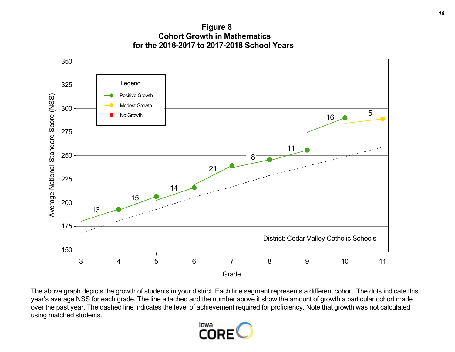**Figure 8 Cohort Growth in Mathematics for the 2016-2017 to 2017-2018 School Years**



The above graph depicts the growth of students in your district. Each line segment represents a different cohort. The dots indicate this year's average NSS for each grade. The line attached and the number above it show the amount of growth a particular cohort made over the past year. The dashed line indicates the level of achievement required for proficiency. Note that growth was not calculated using matched students.

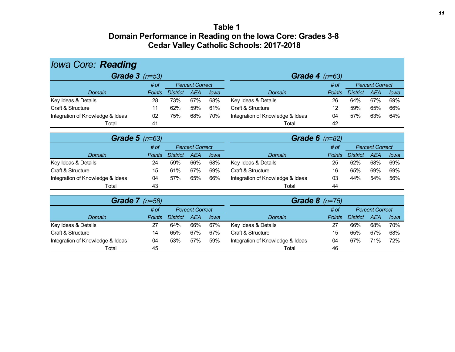#### **Table 1 Domain Performance in Reading on the Iowa Core: Grades 3-8 Cedar Valley Catholic Schools: 2017-2018**

| <b>lowa Core: Reading</b>        |                  |                 |                        |      |                                        |               |                 |                        |      |  |
|----------------------------------|------------------|-----------------|------------------------|------|----------------------------------------|---------------|-----------------|------------------------|------|--|
| Grade $3$ ( $n=53$ )             | Grade 4 $(n=63)$ |                 |                        |      |                                        |               |                 |                        |      |  |
|                                  | # of             |                 | <b>Percent Correct</b> |      |                                        | # of          |                 | <b>Percent Correct</b> |      |  |
| Domain                           | <b>Points</b>    | <b>District</b> | <b>AEA</b>             | lowa | <b>Domain</b>                          | <b>Points</b> | <b>District</b> | <b>AEA</b>             | lowa |  |
| Key Ideas & Details              | 28               | 73%             | 67%                    | 68%  | Key Ideas & Details                    | 26            | 64%             | 67%                    | 69%  |  |
| Craft & Structure                | 11               | 62%             | 59%                    | 61%  | Craft & Structure                      | 12            | 59%             | 65%                    | 66%  |  |
| Integration of Knowledge & Ideas | 02               | 75%             | 68%                    | 70%  | Integration of Knowledge & Ideas       | 04            | 57%             | 63%                    | 64%  |  |
| Total                            | 41               |                 |                        |      | Total                                  | 42            |                 |                        |      |  |
|                                  |                  |                 |                        |      |                                        |               |                 |                        |      |  |
|                                  | Grade $5$ (n=63) |                 |                        |      | <b>Grade 6</b> $(n=82)$                |               |                 |                        |      |  |
|                                  | # of             |                 | <b>Percent Correct</b> |      |                                        | # of          |                 | <b>Percent Correct</b> |      |  |
| Domain                           | <b>Points</b>    | <b>District</b> | <b>AEA</b>             | lowa | Domain                                 | <b>Points</b> | <b>District</b> | <b>AEA</b>             | lowa |  |
| Key Ideas & Details              | 24               | 59%             | 66%                    | 68%  | Key Ideas & Details                    | 25            | 62%             | 68%                    | 69%  |  |
| Craft & Structure                | 15               | 61%             | 67%                    | 69%  | Craft & Structure                      | 16            | 65%             | 69%                    | 69%  |  |
| Integration of Knowledge & Ideas | 04               | 57%             | 65%                    | 66%  | Integration of Knowledge & Ideas<br>03 |               | 44%             | 54%                    | 56%  |  |
| Total                            | 43               |                 |                        |      | Total                                  | 44            |                 |                        |      |  |
|                                  |                  |                 |                        |      |                                        |               |                 |                        |      |  |
| Grade $7$ ( $n=58$ )             |                  |                 |                        |      | Grade $8$ (n=75)                       |               |                 |                        |      |  |
|                                  | # of             |                 | <b>Percent Correct</b> |      | <b>Percent Correct</b><br># of         |               |                 |                        |      |  |
| Domain                           | <b>Points</b>    | <b>District</b> | <b>AEA</b>             | lowa | Domain                                 | <b>Points</b> | <b>District</b> | <b>AEA</b>             | lowa |  |
| Key Ideas & Details              | 27               | 64%             | 66%                    | 67%  | Key Ideas & Details                    | 27            | 66%             | 68%                    | 70%  |  |
| Craft & Structure                | 14               | 65%             | 67%                    | 67%  | Craft & Structure                      | 15            | 65%             | 67%                    | 68%  |  |
| Integration of Knowledge & Ideas | 04               | 53%             | 57%                    | 59%  | Integration of Knowledge & Ideas       | 04            | 67%             | 71%                    | 72%  |  |
| Total                            | 45               |                 |                        |      | Total                                  | 46            |                 |                        |      |  |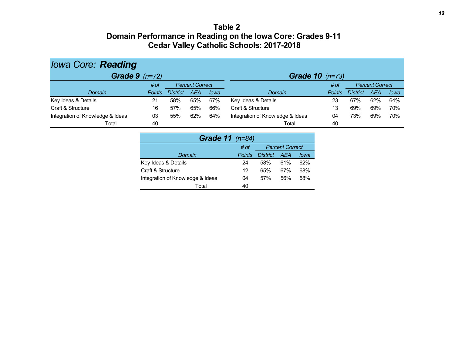#### **Table 2 Domain Performance in Reading on the Iowa Core: Grades 9-11 Cedar Valley Catholic Schools: 2017-2018**

| <b>lowa Core: Reading</b>        |               |                        |     |      |                                  |               |                 |                        |      |  |  |
|----------------------------------|---------------|------------------------|-----|------|----------------------------------|---------------|-----------------|------------------------|------|--|--|
| Grade $9$ ( $n=72$ )             |               |                        |     |      | <b>Grade 10</b> $(n=73)$         |               |                 |                        |      |  |  |
|                                  | # of          | <b>Percent Correct</b> |     |      |                                  | # of          |                 | <b>Percent Correct</b> |      |  |  |
| Domain                           | <b>Points</b> | <b>District</b>        | AEA | lowa | Domain                           | <b>Points</b> | <b>District</b> | AEA                    | lowa |  |  |
| Key Ideas & Details              | 21            | 58%                    | 65% | 67%  | Key Ideas & Details              | 23            | 67%             | 62%                    | 64%  |  |  |
| Craft & Structure                | 16            | 57%                    | 65% | 66%  | Craft & Structure                | 13            | 69%             | 69%                    | 70%  |  |  |
| Integration of Knowledge & Ideas | 03            | 55%                    | 62% | 64%  | Integration of Knowledge & Ideas | 04            | 73%             | 69%                    | 70%  |  |  |
| Total                            | 40            |                        |     |      | Total                            | 40            |                 |                        |      |  |  |

| <b>Grade 11</b> (n=84)           |               |                        |     |      |  |  |  |  |  |  |
|----------------------------------|---------------|------------------------|-----|------|--|--|--|--|--|--|
|                                  | # of          | <b>Percent Correct</b> |     |      |  |  |  |  |  |  |
| Domain                           | <b>Points</b> | <b>District</b>        | AFA | lowa |  |  |  |  |  |  |
| Key Ideas & Details              | 24            | 58%                    | 61% | 62%  |  |  |  |  |  |  |
| Craft & Structure                | 12            | 65%                    | 67% | 68%  |  |  |  |  |  |  |
| Integration of Knowledge & Ideas | 04            | 57%                    | 56% | 58%  |  |  |  |  |  |  |
| Total                            | 40            |                        |     |      |  |  |  |  |  |  |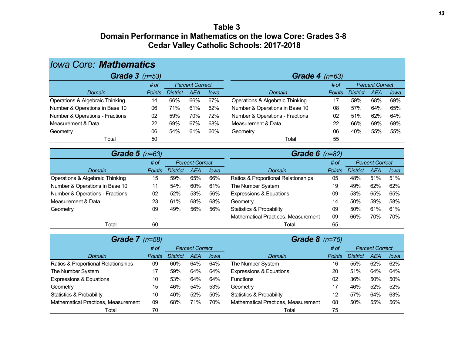### **Table 3 Domain Performance in Mathematics on the Iowa Core: Grades 3-8 Cedar Valley Catholic Schools: 2017-2018**

| <b>Iowa Core: Mathematics</b>       |                  |                        |                        |      |                                                         |               |                        |                        |      |
|-------------------------------------|------------------|------------------------|------------------------|------|---------------------------------------------------------|---------------|------------------------|------------------------|------|
| Grade $3$ (n=53)                    | Grade $4$ (n=63) |                        |                        |      |                                                         |               |                        |                        |      |
|                                     | # of             | <b>Percent Correct</b> |                        |      |                                                         | # of          | <b>Percent Correct</b> |                        |      |
| Domain                              | Points           | <b>District</b>        | <b>AEA</b>             | lowa | Domain                                                  | <b>Points</b> | <b>District</b>        | <b>AEA</b>             | lowa |
| Operations & Algebraic Thinking     | 14               | 66%                    | 66%                    | 67%  | Operations & Algebraic Thinking                         | 17            | 59%                    | 68%                    | 69%  |
| Number & Operations in Base 10      | 06               | 71%                    | 61%                    | 62%  | Number & Operations in Base 10                          | 08            | 57%                    | 64%                    | 65%  |
| Number & Operations - Fractions     | 02               | 59%                    | 70%                    | 72%  | Number & Operations - Fractions                         | 02            | 51%                    | 62%                    | 64%  |
| Measurement & Data                  | 22               | 69%                    | 67%                    | 68%  | Measurement & Data                                      | 22            | 66%                    | 69%                    | 69%  |
| Geometry                            | 06               | 54%                    | 61%                    | 60%  | Geometry                                                | 06            | 40%                    | 55%                    | 55%  |
| Total                               | 50               |                        |                        |      | Total                                                   | 55            |                        |                        |      |
| <b>Grade 5</b> (n=63)               |                  |                        |                        |      | Grade $6$ (n=82)                                        |               |                        |                        |      |
|                                     | # of             |                        | <b>Percent Correct</b> |      |                                                         | # of          |                        | <b>Percent Correct</b> |      |
| Domain                              | <b>Points</b>    | <b>District</b>        | <b>AEA</b>             | lowa | Domain                                                  | <b>Points</b> | <b>District</b>        | <b>AEA</b>             | lowa |
| Operations & Algebraic Thinking     | 15               | 59%                    | 65%                    | 66%  | Ratios & Proportional Relationships                     | 05            | 48%                    | 51%                    | 51%  |
| Number & Operations in Base 10      | 11               | 54%                    | 60%                    | 61%  | The Number System                                       | 19            | 49%                    | 62%                    | 62%  |
| Number & Operations - Fractions     | 02               | 52%                    | 53%                    | 56%  | <b>Expressions &amp; Equations</b>                      | 09            | 53%                    | 65%                    | 65%  |
| Measurement & Data                  | 23               | 61%                    | 68%                    | 68%  | Geometry                                                | 14            | 50%                    | 59%                    | 58%  |
| Geometry                            | 09               | 49%                    | 56%                    | 56%  | <b>Statistics &amp; Probability</b>                     | 09            | 50%                    | 61%                    | 61%  |
|                                     |                  |                        |                        |      | Mathematical Practices, Measurement                     | 09            | 66%                    | 70%                    | 70%  |
| Total                               | 60               |                        |                        |      | 65<br>Total                                             |               |                        |                        |      |
| <b>Grade 7</b> (n=58)               |                  |                        |                        |      | Grade 8                                                 | $(n=75)$      |                        |                        |      |
|                                     | # of             |                        | <b>Percent Correct</b> |      |                                                         | # of          |                        | <b>Percent Correct</b> |      |
| Domain                              | <b>Points</b>    | <b>District</b>        | <b>AEA</b>             | lowa | Domain                                                  | <b>Points</b> | <b>District</b>        | <b>AEA</b>             | lowa |
| Ratios & Proportional Relationships | 09               | 60%                    | 64%                    | 64%  | The Number System                                       | 16            | 55%                    | 62%                    | 62%  |
| The Number System                   | 17               | 59%                    | 64%                    | 64%  | <b>Expressions &amp; Equations</b>                      | 20            | 51%                    | 64%                    | 64%  |
| <b>Expressions &amp; Equations</b>  | 10               | 53%                    | 64%                    | 64%  | Functions<br>02<br>36%<br>50%                           |               | 50%                    |                        |      |
| Geometry                            | 15               | 46%                    | 54%                    | 53%  | Geometry                                                | 17            | 46%                    | 52%                    | 52%  |
| <b>Statistics &amp; Probability</b> | 10               | 40%                    | 52%                    | 50%  | <b>Statistics &amp; Probability</b>                     | 12            | 57%                    | 64%                    | 63%  |
| Mathematical Practices, Measurement | 09               | 68%                    | 71%                    | 70%  | 55%<br>Mathematical Practices, Measurement<br>08<br>50% |               |                        | 56%                    |      |
| Total                               | 70               |                        |                        |      | Total                                                   | 75            |                        |                        |      |